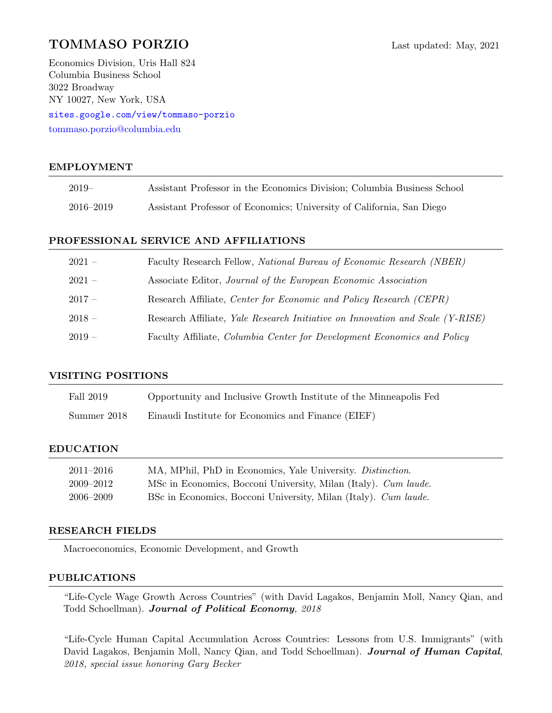# TOMMASO PORZIO Last updated: May, 2021

Economics Division, Uris Hall 824 Columbia Business School 3022 Broadway NY 10027, New York, USA

<sites.google.com/view/tommaso-porzio> [tommaso.porzio@columbia.edu](mailto:tommaso.porzio@columbia.edu)

## EMPLOYMENT

| 2019–     | Assistant Professor in the Economics Division; Columbia Business School |
|-----------|-------------------------------------------------------------------------|
| 2016–2019 | Assistant Professor of Economics; University of California, San Diego   |

## PROFESSIONAL SERVICE AND AFFILIATIONS

| $2021-$  | Faculty Research Fellow, National Bureau of Economic Research (NBER)          |
|----------|-------------------------------------------------------------------------------|
| $2021-$  | Associate Editor, Journal of the European Economic Association                |
| $2017-$  | Research Affiliate, Center for Economic and Policy Research (CEPR)            |
| $2018-$  | Research Affiliate, Yale Research Initiative on Innovation and Scale (Y-RISE) |
| $2019 -$ | Faculty Affiliate, Columbia Center for Development Economics and Policy       |

### VISITING POSITIONS

| Fall 2019   | Opportunity and Inclusive Growth Institute of the Minneapolis Fed |
|-------------|-------------------------------------------------------------------|
| Summer 2018 | Einaudi Institute for Economics and Finance (EIEF)                |

#### EDUCATION

| 2011–2016 | MA, MPhil, PhD in Economics, Yale University. Distinction.      |
|-----------|-----------------------------------------------------------------|
| 2009–2012 | MSc in Economics, Bocconi University, Milan (Italy). Cum laude. |
| 2006–2009 | BSc in Economics, Bocconi University, Milan (Italy). Cum laude. |

### RESEARCH FIELDS

Macroeconomics, Economic Development, and Growth

#### PUBLICATIONS

"Life-Cycle Wage Growth Across Countries" (with David Lagakos, Benjamin Moll, Nancy Qian, and Todd Schoellman). Journal of Political Economy, 2018

"Life-Cycle Human Capital Accumulation Across Countries: Lessons from U.S. Immigrants" (with David Lagakos, Benjamin Moll, Nancy Qian, and Todd Schoellman). Journal of Human Capital, 2018, special issue honoring Gary Becker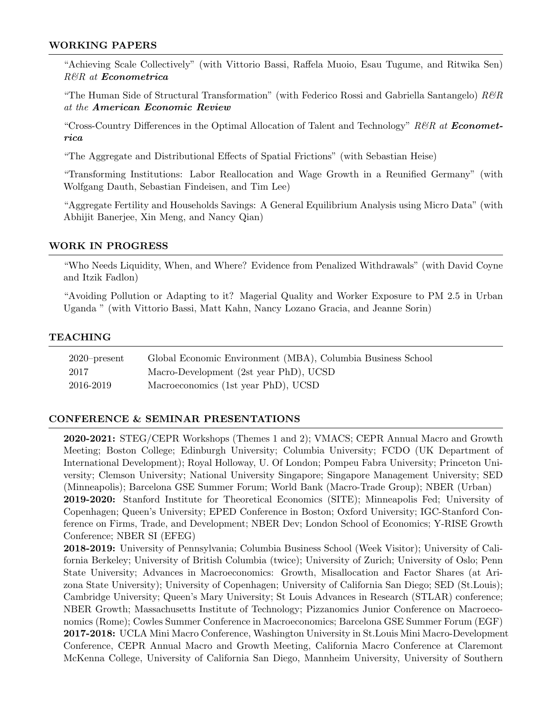## WORKING PAPERS

"Achieving Scale Collectively" (with Vittorio Bassi, Raffela Muoio, Esau Tugume, and Ritwika Sen) R&R at Econometrica

"The Human Side of Structural Transformation" (with Federico Rossi and Gabriella Santangelo)  $R\mathscr{C}R$ at the American Economic Review

"Cross-Country Differences in the Optimal Allocation of Talent and Technology" R&R at **Economet**rica

"The Aggregate and Distributional Effects of Spatial Frictions" (with Sebastian Heise)

"Transforming Institutions: Labor Reallocation and Wage Growth in a Reunified Germany" (with Wolfgang Dauth, Sebastian Findeisen, and Tim Lee)

"Aggregate Fertility and Households Savings: A General Equilibrium Analysis using Micro Data" (with Abhijit Banerjee, Xin Meng, and Nancy Qian)

#### WORK IN PROGRESS

"Who Needs Liquidity, When, and Where? Evidence from Penalized Withdrawals" (with David Coyne and Itzik Fadlon)

"Avoiding Pollution or Adapting to it? Magerial Quality and Worker Exposure to PM 2.5 in Urban Uganda " (with Vittorio Bassi, Matt Kahn, Nancy Lozano Gracia, and Jeanne Sorin)

#### TEACHING

| $2020$ -present | Global Economic Environment (MBA), Columbia Business School |
|-----------------|-------------------------------------------------------------|
| 2017            | Macro-Development (2st year PhD), UCSD                      |
| 2016-2019       | Macroeconomics (1st year PhD), UCSD                         |

### CONFERENCE & SEMINAR PRESENTATIONS

2020-2021: STEG/CEPR Workshops (Themes 1 and 2); VMACS; CEPR Annual Macro and Growth Meeting; Boston College; Edinburgh University; Columbia University; FCDO (UK Department of International Development); Royal Holloway, U. Of London; Pompeu Fabra University; Princeton University; Clemson University; National University Singapore; Singapore Management University; SED (Minneapolis); Barcelona GSE Summer Forum; World Bank (Macro-Trade Group); NBER (Urban) 2019-2020: Stanford Institute for Theoretical Economics (SITE); Minneapolis Fed; University of Copenhagen; Queen's University; EPED Conference in Boston; Oxford University; IGC-Stanford Conference on Firms, Trade, and Development; NBER Dev; London School of Economics; Y-RISE Growth Conference; NBER SI (EFEG)

2018-2019: University of Pennsylvania; Columbia Business School (Week Visitor); University of California Berkeley; University of British Columbia (twice); University of Zurich; University of Oslo; Penn State University; Advances in Macroeconomics: Growth, Misallocation and Factor Shares (at Arizona State University); University of Copenhagen; University of California San Diego; SED (St.Louis); Cambridge University; Queen's Mary University; St Louis Advances in Research (STLAR) conference; NBER Growth; Massachusetts Institute of Technology; Pizzanomics Junior Conference on Macroeconomics (Rome); Cowles Summer Conference in Macroeconomics; Barcelona GSE Summer Forum (EGF) 2017-2018: UCLA Mini Macro Conference, Washington University in St.Louis Mini Macro-Development Conference, CEPR Annual Macro and Growth Meeting, California Macro Conference at Claremont McKenna College, University of California San Diego, Mannheim University, University of Southern